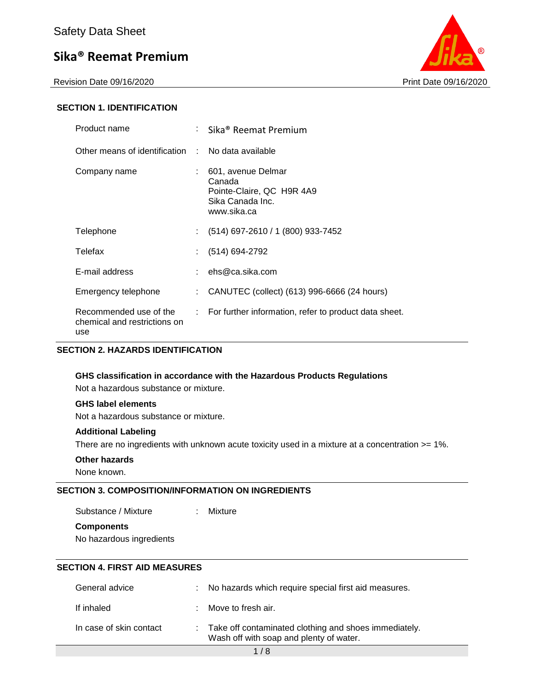Revision Date 09/16/2020 **Print Date 09/16/2020** Print Date 09/16/2020



#### **SECTION 1. IDENTIFICATION**

| Product name                                                  | : Sika® Reemat Premium                                                                       |
|---------------------------------------------------------------|----------------------------------------------------------------------------------------------|
| Other means of identification : No data available             |                                                                                              |
| Company name                                                  | 601, avenue Delmar<br>Canada<br>Pointe-Claire, QC H9R 4A9<br>Sika Canada Inc.<br>www.sika.ca |
| Telephone                                                     | $(514)$ 697-2610 / 1 (800) 933-7452                                                          |
| Telefax                                                       | (514) 694-2792                                                                               |
| E-mail address                                                | : $ehs@ca.sika.com$                                                                          |
| Emergency telephone                                           | CANUTEC (collect) (613) 996-6666 (24 hours)                                                  |
| Recommended use of the<br>chemical and restrictions on<br>use | : For further information, refer to product data sheet.                                      |

#### **SECTION 2. HAZARDS IDENTIFICATION**

#### **GHS classification in accordance with the Hazardous Products Regulations**

Not a hazardous substance or mixture.

#### **GHS label elements**

Not a hazardous substance or mixture.

#### **Additional Labeling**

There are no ingredients with unknown acute toxicity used in a mixture at a concentration >= 1%.

#### **Other hazards**

None known.

#### **SECTION 3. COMPOSITION/INFORMATION ON INGREDIENTS**

Substance / Mixture : Mixture

**Components**

No hazardous ingredients

#### **SECTION 4. FIRST AID MEASURES**

| General advice          | : No hazards which require special first aid measures.                                             |
|-------------------------|----------------------------------------------------------------------------------------------------|
| If inhaled              | : Move to fresh air.                                                                               |
| In case of skin contact | : Take off contaminated clothing and shoes immediately.<br>Wash off with soap and plenty of water. |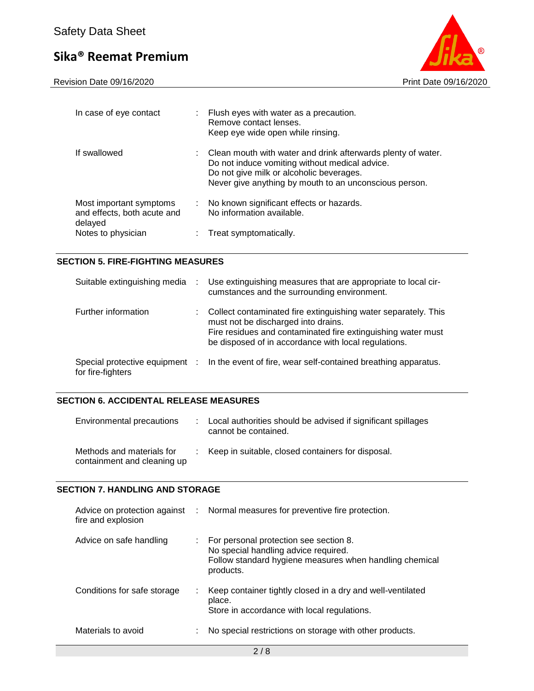

| In case of eye contact                                            |    | Flush eyes with water as a precaution.<br>Remove contact lenses.<br>Keep eye wide open while rinsing.                                                                                                                  |
|-------------------------------------------------------------------|----|------------------------------------------------------------------------------------------------------------------------------------------------------------------------------------------------------------------------|
| If swallowed                                                      |    | : Clean mouth with water and drink afterwards plenty of water.<br>Do not induce vomiting without medical advice.<br>Do not give milk or alcoholic beverages.<br>Never give anything by mouth to an unconscious person. |
| Most important symptoms<br>and effects, both acute and<br>delayed | ÷. | No known significant effects or hazards.<br>No information available.                                                                                                                                                  |
| Notes to physician                                                |    | Treat symptomatically.                                                                                                                                                                                                 |

### **SECTION 5. FIRE-FIGHTING MEASURES**

| Suitable extinguishing media                        | Use extinguishing measures that are appropriate to local cir-<br>cumstances and the surrounding environment.                                                                                                                  |
|-----------------------------------------------------|-------------------------------------------------------------------------------------------------------------------------------------------------------------------------------------------------------------------------------|
| Further information                                 | Collect contaminated fire extinguishing water separately. This<br>must not be discharged into drains.<br>Fire residues and contaminated fire extinguishing water must<br>be disposed of in accordance with local regulations. |
| Special protective equipment :<br>for fire-fighters | In the event of fire, wear self-contained breathing apparatus.                                                                                                                                                                |

#### **SECTION 6. ACCIDENTAL RELEASE MEASURES**

| Environmental precautions                                | : Local authorities should be advised if significant spillages<br>cannot be contained. |
|----------------------------------------------------------|----------------------------------------------------------------------------------------|
| Methods and materials for<br>containment and cleaning up | Keep in suitable, closed containers for disposal.                                      |

#### **SECTION 7. HANDLING AND STORAGE**

| fire and explosion          | Advice on protection against : Normal measures for preventive fire protection.                                                                           |
|-----------------------------|----------------------------------------------------------------------------------------------------------------------------------------------------------|
| Advice on safe handling     | : For personal protection see section 8.<br>No special handling advice required.<br>Follow standard hygiene measures when handling chemical<br>products. |
| Conditions for safe storage | Keep container tightly closed in a dry and well-ventilated<br>place.<br>Store in accordance with local regulations.                                      |
| Materials to avoid          | No special restrictions on storage with other products.                                                                                                  |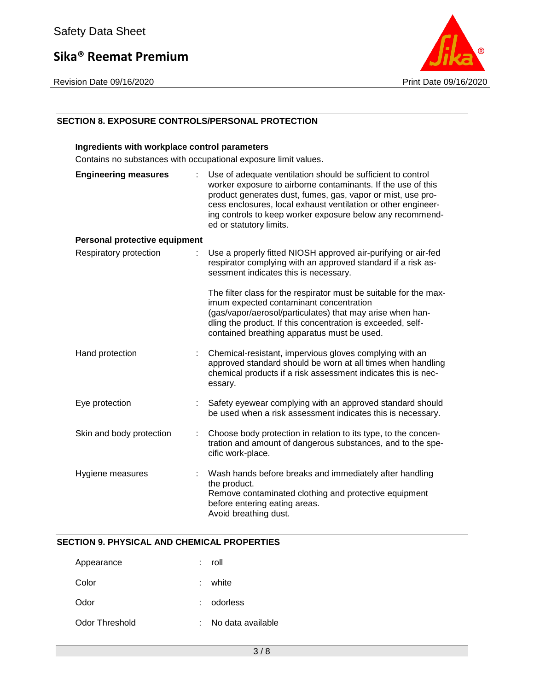Revision Date 09/16/2020 **Print Date 09/16/2020** 



#### **SECTION 8. EXPOSURE CONTROLS/PERSONAL PROTECTION**

#### **Ingredients with workplace control parameters**

Contains no substances with occupational exposure limit values.

| <b>Engineering measures</b>          | Use of adequate ventilation should be sufficient to control<br>worker exposure to airborne contaminants. If the use of this<br>product generates dust, fumes, gas, vapor or mist, use pro-<br>cess enclosures, local exhaust ventilation or other engineer-<br>ing controls to keep worker exposure below any recommend-<br>ed or statutory limits. |
|--------------------------------------|-----------------------------------------------------------------------------------------------------------------------------------------------------------------------------------------------------------------------------------------------------------------------------------------------------------------------------------------------------|
| <b>Personal protective equipment</b> |                                                                                                                                                                                                                                                                                                                                                     |
| Respiratory protection               | Use a properly fitted NIOSH approved air-purifying or air-fed<br>respirator complying with an approved standard if a risk as-<br>sessment indicates this is necessary.                                                                                                                                                                              |
|                                      | The filter class for the respirator must be suitable for the max-<br>imum expected contaminant concentration<br>(gas/vapor/aerosol/particulates) that may arise when han-<br>dling the product. If this concentration is exceeded, self-<br>contained breathing apparatus must be used.                                                             |
| Hand protection                      | Chemical-resistant, impervious gloves complying with an<br>approved standard should be worn at all times when handling<br>chemical products if a risk assessment indicates this is nec-<br>essary.                                                                                                                                                  |
| Eye protection                       | Safety eyewear complying with an approved standard should<br>be used when a risk assessment indicates this is necessary.                                                                                                                                                                                                                            |
| Skin and body protection             | Choose body protection in relation to its type, to the concen-<br>tration and amount of dangerous substances, and to the spe-<br>cific work-place.                                                                                                                                                                                                  |
| Hygiene measures                     | Wash hands before breaks and immediately after handling<br>the product.<br>Remove contaminated clothing and protective equipment<br>before entering eating areas.<br>Avoid breathing dust.                                                                                                                                                          |

#### **SECTION 9. PHYSICAL AND CHEMICAL PROPERTIES**

| Appearance     | ÷. | roll              |
|----------------|----|-------------------|
| Color          |    | $:$ white         |
| Odor           |    | : odorless        |
| Odor Threshold | ÷  | No data available |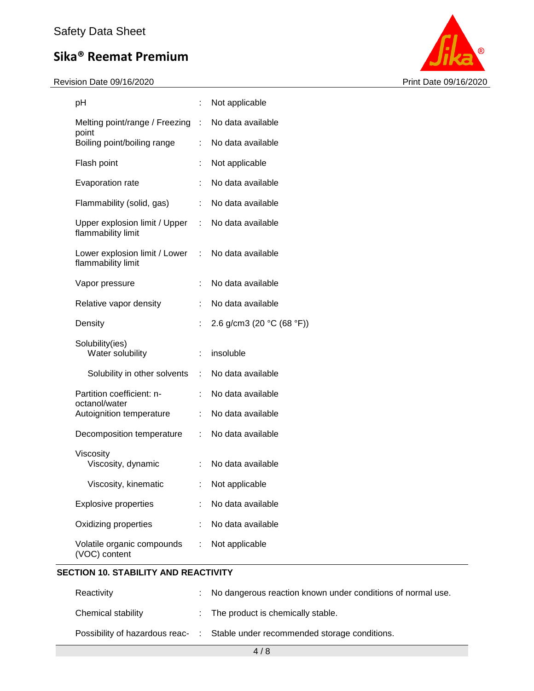Revision Date 09/16/2020 **Print Date 09/16/2020** 



| рH                                                                      |                              | Not applicable            |
|-------------------------------------------------------------------------|------------------------------|---------------------------|
| Melting point/range / Freezing :                                        |                              | No data available         |
| point<br>Boiling point/boiling range                                    | ÷                            | No data available         |
| Flash point                                                             |                              | Not applicable            |
| Evaporation rate                                                        | ÷                            | No data available         |
| Flammability (solid, gas)                                               | ÷                            | No data available         |
| Upper explosion limit / Upper : No data available<br>flammability limit |                              |                           |
| Lower explosion limit / Lower : No data available<br>flammability limit |                              |                           |
| Vapor pressure                                                          |                              | No data available         |
| Relative vapor density                                                  | ÷                            | No data available         |
| Density                                                                 | t.                           | 2.6 g/cm3 (20 °C (68 °F)) |
| Solubility(ies)<br>Water solubility                                     | ÷.                           | insoluble                 |
| Solubility in other solvents                                            | $\mathcal{L}_{\mathrm{max}}$ | No data available         |
| Partition coefficient: n-<br>octanol/water                              |                              | No data available         |
| Autoignition temperature                                                | ÷.                           | No data available         |
| Decomposition temperature                                               | $\mathbb{Z}^{\times}$        | No data available         |
| Viscosity<br>Viscosity, dynamic                                         | t.                           | No data available         |
| Viscosity, kinematic                                                    | <b>Contract Contract</b>     | Not applicable            |
| <b>Explosive properties</b>                                             |                              | No data available         |
| Oxidizing properties                                                    |                              | No data available         |
| Volatile organic compounds<br>(VOC) content                             | ÷                            | Not applicable            |

### **SECTION 10. STABILITY AND REACTIVITY**

| Reactivity                     | t. | No dangerous reaction known under conditions of normal use. |
|--------------------------------|----|-------------------------------------------------------------|
| Chemical stability             |    | : The product is chemically stable.                         |
| Possibility of hazardous reac- |    | : Stable under recommended storage conditions.              |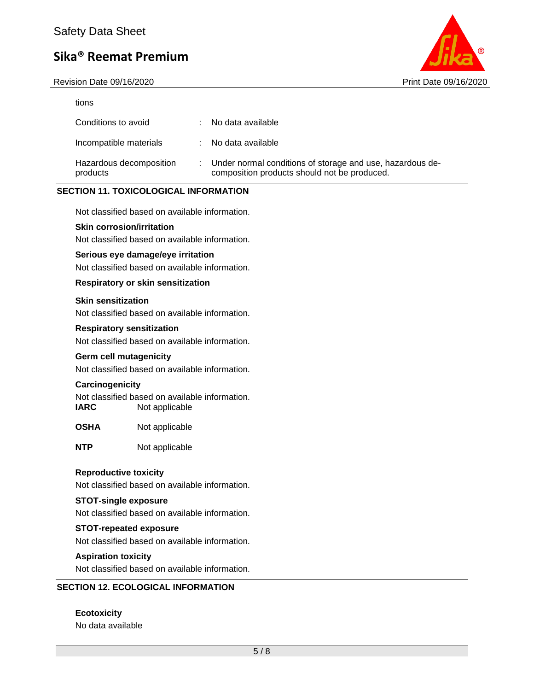Revision Date 09/16/2020 Print Date 09/16/2020



| tions                               |                                                                                                           |
|-------------------------------------|-----------------------------------------------------------------------------------------------------------|
| Conditions to avoid                 | No data available                                                                                         |
| Incompatible materials              | No data available                                                                                         |
| Hazardous decomposition<br>products | Under normal conditions of storage and use, hazardous de-<br>composition products should not be produced. |

#### **SECTION 11. TOXICOLOGICAL INFORMATION**

Not classified based on available information.

#### **Skin corrosion/irritation**

Not classified based on available information.

#### **Serious eye damage/eye irritation**

Not classified based on available information.

#### **Respiratory or skin sensitization**

#### **Skin sensitization**

Not classified based on available information.

#### **Respiratory sensitization**

Not classified based on available information.

#### **Germ cell mutagenicity**

Not classified based on available information.

#### **Carcinogenicity**

Not classified based on available information. **IARC** Not applicable

- **OSHA** Not applicable
- **NTP** Not applicable

#### **Reproductive toxicity**

Not classified based on available information.

#### **STOT-single exposure**

Not classified based on available information.

#### **STOT-repeated exposure**

Not classified based on available information.

#### **Aspiration toxicity**

Not classified based on available information.

#### **SECTION 12. ECOLOGICAL INFORMATION**

**Ecotoxicity** No data available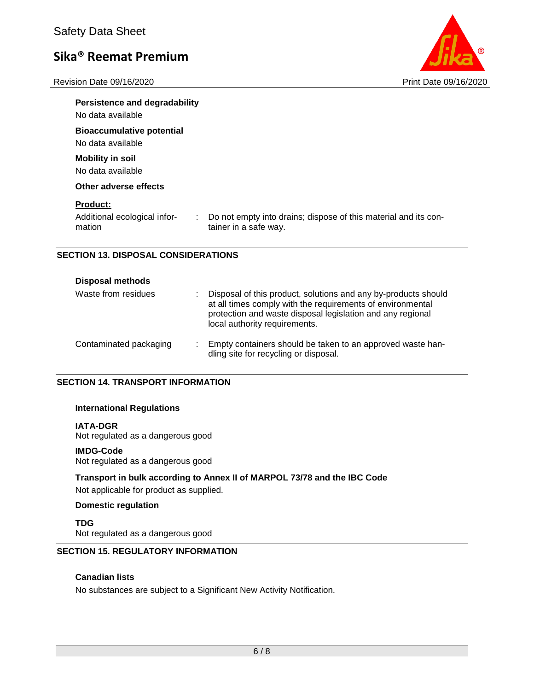Revision Date 09/16/2020 **Print Date 09/16/2020** 



| <b>Persistence and degradability</b><br>No data available |                                                                                          |
|-----------------------------------------------------------|------------------------------------------------------------------------------------------|
| <b>Bioaccumulative potential</b><br>No data available     |                                                                                          |
| <b>Mobility in soil</b><br>No data available              |                                                                                          |
| Other adverse effects<br><b>Product:</b>                  |                                                                                          |
| Additional ecological infor-<br>÷.<br>mation              | Do not empty into drains; dispose of this material and its con-<br>tainer in a safe way. |

#### **SECTION 13. DISPOSAL CONSIDERATIONS**

| <b>Disposal methods</b> |                                                                                                                                                                                                                             |
|-------------------------|-----------------------------------------------------------------------------------------------------------------------------------------------------------------------------------------------------------------------------|
| Waste from residues     | Disposal of this product, solutions and any by-products should<br>at all times comply with the requirements of environmental<br>protection and waste disposal legislation and any regional<br>local authority requirements. |
| Contaminated packaging  | Empty containers should be taken to an approved waste han-<br>dling site for recycling or disposal.                                                                                                                         |

#### **SECTION 14. TRANSPORT INFORMATION**

#### **International Regulations**

#### **IATA-DGR**

Not regulated as a dangerous good

#### **IMDG-Code**

Not regulated as a dangerous good

### **Transport in bulk according to Annex II of MARPOL 73/78 and the IBC Code**

Not applicable for product as supplied.

#### **Domestic regulation**

**TDG** Not regulated as a dangerous good

### **SECTION 15. REGULATORY INFORMATION**

#### **Canadian lists**

No substances are subject to a Significant New Activity Notification.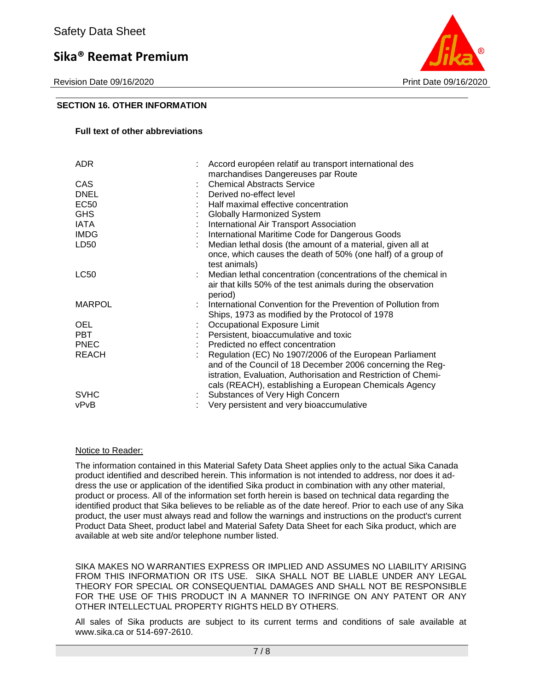Revision Date 09/16/2020 Print Date 09/16/2020



#### **SECTION 16. OTHER INFORMATION**

#### **Full text of other abbreviations**

| <b>ADR</b>       | Accord européen relatif au transport international des<br>marchandises Dangereuses par Route |
|------------------|----------------------------------------------------------------------------------------------|
| CAS              | <b>Chemical Abstracts Service</b>                                                            |
| <b>DNEL</b>      | Derived no-effect level                                                                      |
| <b>EC50</b>      | Half maximal effective concentration                                                         |
| <b>GHS</b>       | <b>Globally Harmonized System</b>                                                            |
| IATA             | International Air Transport Association                                                      |
| <b>IMDG</b>      | International Maritime Code for Dangerous Goods                                              |
| LD <sub>50</sub> | Median lethal dosis (the amount of a material, given all at                                  |
|                  | once, which causes the death of 50% (one half) of a group of<br>test animals)                |
| <b>LC50</b>      | Median lethal concentration (concentrations of the chemical in                               |
|                  | air that kills 50% of the test animals during the observation<br>period)                     |
| <b>MARPOL</b>    | International Convention for the Prevention of Pollution from                                |
|                  | Ships, 1973 as modified by the Protocol of 1978                                              |
| <b>OEL</b>       | Occupational Exposure Limit                                                                  |
| <b>PBT</b>       | Persistent, bioaccumulative and toxic                                                        |
| <b>PNEC</b>      | Predicted no effect concentration                                                            |
| <b>REACH</b>     | Regulation (EC) No 1907/2006 of the European Parliament                                      |
|                  | and of the Council of 18 December 2006 concerning the Reg-                                   |
|                  | istration, Evaluation, Authorisation and Restriction of Chemi-                               |
|                  | cals (REACH), establishing a European Chemicals Agency                                       |
| <b>SVHC</b>      | Substances of Very High Concern                                                              |
| vPvB             | Very persistent and very bioaccumulative                                                     |

#### Notice to Reader:

The information contained in this Material Safety Data Sheet applies only to the actual Sika Canada product identified and described herein. This information is not intended to address, nor does it address the use or application of the identified Sika product in combination with any other material, product or process. All of the information set forth herein is based on technical data regarding the identified product that Sika believes to be reliable as of the date hereof. Prior to each use of any Sika product, the user must always read and follow the warnings and instructions on the product's current Product Data Sheet, product label and Material Safety Data Sheet for each Sika product, which are available at web site and/or telephone number listed.

SIKA MAKES NO WARRANTIES EXPRESS OR IMPLIED AND ASSUMES NO LIABILITY ARISING FROM THIS INFORMATION OR ITS USE. SIKA SHALL NOT BE LIABLE UNDER ANY LEGAL THEORY FOR SPECIAL OR CONSEQUENTIAL DAMAGES AND SHALL NOT BE RESPONSIBLE FOR THE USE OF THIS PRODUCT IN A MANNER TO INFRINGE ON ANY PATENT OR ANY OTHER INTELLECTUAL PROPERTY RIGHTS HELD BY OTHERS.

All sales of Sika products are subject to its current terms and conditions of sale available at www.sika.ca or 514-697-2610.